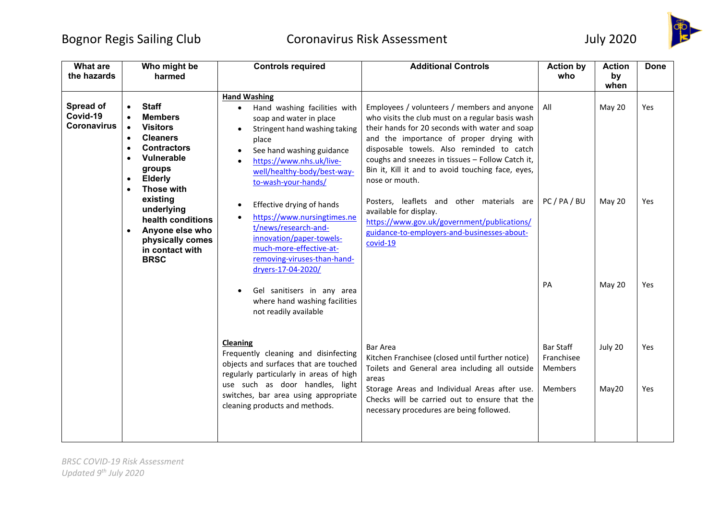## Bognor Regis Sailing Club **Coronavirus Risk Assessment** July 2020



| What are<br>the hazards                     | Who might be<br>harmed                                                                                                                                                              | <b>Controls required</b>                                                                                                                                                                                                                                                                    | <b>Additional Controls</b>                                                                                                                                                                                                                                                                                                                                            | <b>Action by</b><br>who                       | <b>Action</b><br>by<br>when | <b>Done</b> |
|---------------------------------------------|-------------------------------------------------------------------------------------------------------------------------------------------------------------------------------------|---------------------------------------------------------------------------------------------------------------------------------------------------------------------------------------------------------------------------------------------------------------------------------------------|-----------------------------------------------------------------------------------------------------------------------------------------------------------------------------------------------------------------------------------------------------------------------------------------------------------------------------------------------------------------------|-----------------------------------------------|-----------------------------|-------------|
| Spread of<br>Covid-19<br><b>Coronavirus</b> | <b>Staff</b><br><b>Members</b><br><b>Visitors</b><br>$\bullet$<br><b>Cleaners</b><br>$\bullet$<br><b>Contractors</b><br><b>Vulnerable</b><br>groups<br><b>Elderly</b><br>Those with | <b>Hand Washing</b><br>Hand washing facilities with<br>$\bullet$<br>soap and water in place<br>Stringent hand washing taking<br>$\bullet$<br>place<br>See hand washing guidance<br>$\bullet$<br>https://www.nhs.uk/live-<br>$\bullet$<br>well/healthy-body/best-way-<br>to-wash-your-hands/ | Employees / volunteers / members and anyone<br>who visits the club must on a regular basis wash<br>their hands for 20 seconds with water and soap<br>and the importance of proper drying with<br>disposable towels. Also reminded to catch<br>coughs and sneezes in tissues - Follow Catch it,<br>Bin it, Kill it and to avoid touching face, eyes,<br>nose or mouth. | All                                           | <b>May 20</b>               | Yes         |
|                                             | existing<br>underlying<br>health conditions<br>Anyone else who<br>$\bullet$<br>physically comes<br>in contact with<br><b>BRSC</b>                                                   | Effective drying of hands<br>$\bullet$<br>https://www.nursingtimes.ne<br>t/news/research-and-<br>innovation/paper-towels-<br>much-more-effective-at-<br>removing-viruses-than-hand-<br>dryers-17-04-2020/                                                                                   | Posters, leaflets and other materials are<br>available for display.<br>https://www.gov.uk/government/publications/<br>guidance-to-employers-and-businesses-about-<br>covid-19                                                                                                                                                                                         | PC/PA/BU                                      | May 20                      | Yes         |
|                                             |                                                                                                                                                                                     | Gel sanitisers in any area<br>where hand washing facilities<br>not readily available                                                                                                                                                                                                        |                                                                                                                                                                                                                                                                                                                                                                       | PA                                            | <b>May 20</b>               | Yes         |
|                                             |                                                                                                                                                                                     | <b>Cleaning</b><br>Frequently cleaning and disinfecting<br>objects and surfaces that are touched<br>regularly particularly in areas of high<br>use such as door handles, light<br>switches, bar area using appropriate<br>cleaning products and methods.                                    | <b>Bar Area</b><br>Kitchen Franchisee (closed until further notice)<br>Toilets and General area including all outside<br>areas<br>Storage Areas and Individual Areas after use.<br>Checks will be carried out to ensure that the<br>necessary procedures are being followed.                                                                                          | Bar Staff<br>Franchisee<br>Members<br>Members | July 20<br>May20            | Yes<br>Yes  |
|                                             |                                                                                                                                                                                     |                                                                                                                                                                                                                                                                                             |                                                                                                                                                                                                                                                                                                                                                                       |                                               |                             |             |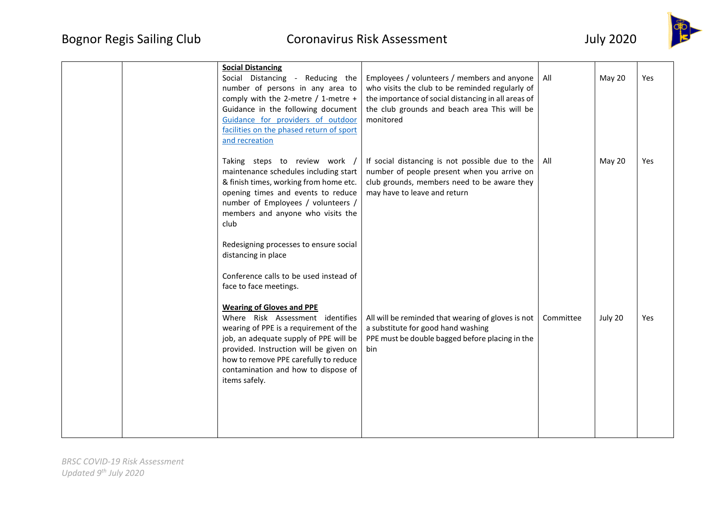

|  | <b>Social Distancing</b><br>Social Distancing - Reducing the<br>number of persons in any area to<br>comply with the 2-metre / 1-metre +<br>Guidance in the following document<br>Guidance for providers of outdoor<br>facilities on the phased return of sport<br>and recreation                    | Employees / volunteers / members and anyone<br>who visits the club to be reminded regularly of<br>the importance of social distancing in all areas of<br>the club grounds and beach area This will be<br>monitored | All       | May 20        | Yes        |
|--|-----------------------------------------------------------------------------------------------------------------------------------------------------------------------------------------------------------------------------------------------------------------------------------------------------|--------------------------------------------------------------------------------------------------------------------------------------------------------------------------------------------------------------------|-----------|---------------|------------|
|  | Taking steps to review work /<br>maintenance schedules including start<br>& finish times, working from home etc.<br>opening times and events to reduce<br>number of Employees / volunteers /<br>members and anyone who visits the<br>club                                                           | If social distancing is not possible due to the<br>number of people present when you arrive on<br>club grounds, members need to be aware they<br>may have to leave and return                                      | All       | <b>May 20</b> | Yes        |
|  | Redesigning processes to ensure social<br>distancing in place<br>Conference calls to be used instead of<br>face to face meetings.                                                                                                                                                                   |                                                                                                                                                                                                                    |           |               |            |
|  | <b>Wearing of Gloves and PPE</b><br>Where Risk Assessment identifies<br>wearing of PPE is a requirement of the<br>job, an adequate supply of PPE will be<br>provided. Instruction will be given on<br>how to remove PPE carefully to reduce<br>contamination and how to dispose of<br>items safely. | All will be reminded that wearing of gloves is not<br>a substitute for good hand washing<br>PPE must be double bagged before placing in the<br>bin                                                                 | Committee | July 20       | <b>Yes</b> |
|  |                                                                                                                                                                                                                                                                                                     |                                                                                                                                                                                                                    |           |               |            |